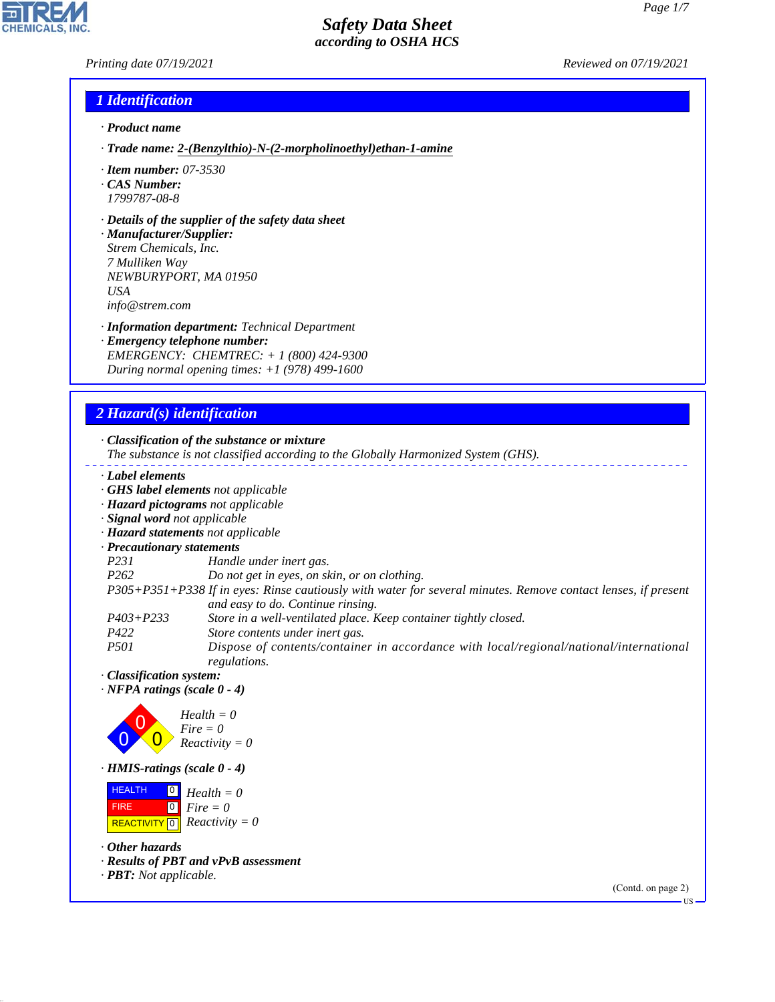### *Printing date 07/19/2021 Reviewed on 07/19/2021*

**CHEMICALS.** 

## *1 Identification*

- *· Product name*
- *· Trade name: 2-(Benzylthio)-N-(2-morpholinoethyl)ethan-1-amine*
- *· Item number: 07-3530*
- *· CAS Number: 1799787-08-8*
- *· Details of the supplier of the safety data sheet*

*· Manufacturer/Supplier: Strem Chemicals, Inc. 7 Mulliken Way NEWBURYPORT, MA 01950 USA info@strem.com*

- *· Information department: Technical Department*
- *· Emergency telephone number: EMERGENCY: CHEMTREC: + 1 (800) 424-9300 During normal opening times: +1 (978) 499-1600*

# *2 Hazard(s) identification*

*· Classification of the substance or mixture*

- *The substance is not classified according to the Globally Harmonized System (GHS).*
- *· Label elements*
- *· GHS label elements not applicable*
- *· Hazard pictograms not applicable*
- *· Signal word not applicable*
- *· Hazard statements not applicable*
- *· Precautionary statements*
- *P231 Handle under inert gas.*
- *P262 Do not get in eyes, on skin, or on clothing.*
- *P305+P351+P338 If in eyes: Rinse cautiously with water for several minutes. Remove contact lenses, if present and easy to do. Continue rinsing.*
- *P403+P233 Store in a well-ventilated place. Keep container tightly closed.*
- *P422 Store contents under inert gas.*
- *P501 Dispose of contents/container in accordance with local/regional/national/international regulations.*
- *· Classification system:*
- *· NFPA ratings (scale 0 4)*



*· HMIS-ratings (scale 0 - 4)*

 HEALTH FIRE  $\boxed{\text{REACTIVITY} \boxed{0}}$  Reactivity = 0  $\boxed{0}$ 0 *Fire = 0 Health = 0*

*· Other hazards*

44.1.1

- *· Results of PBT and vPvB assessment*
- *· PBT: Not applicable.*

(Contd. on page 2)

US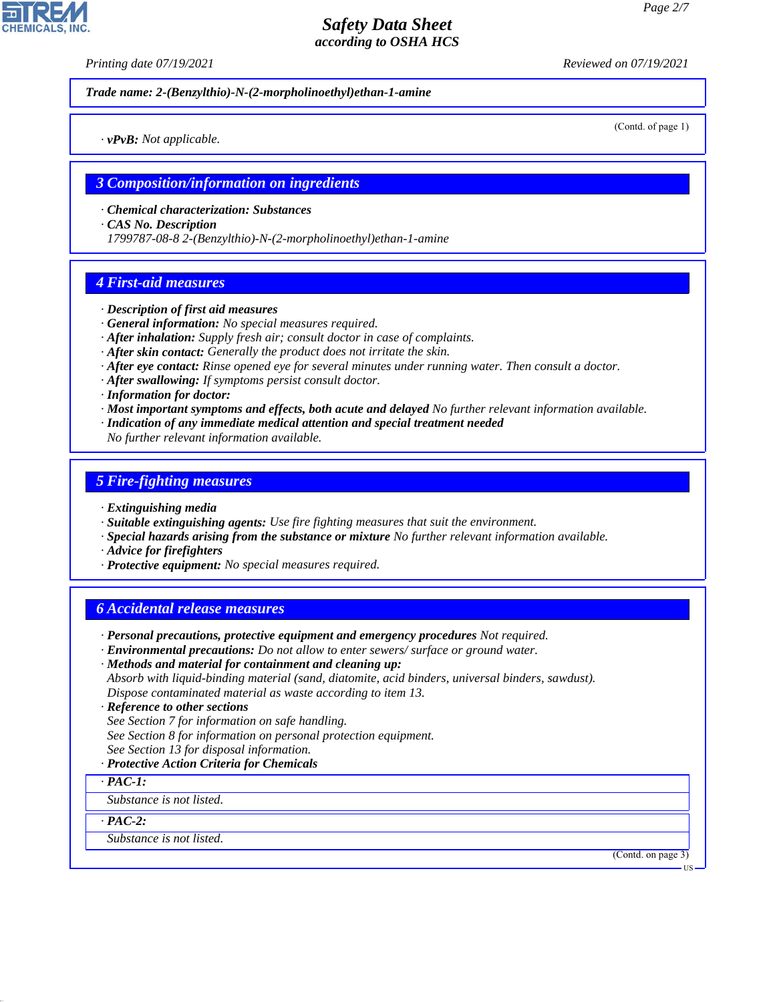*Printing date 07/19/2021 Reviewed on 07/19/2021*

*Trade name: 2-(Benzylthio)-N-(2-morpholinoethyl)ethan-1-amine*

(Contd. of page 1)

*3 Composition/information on ingredients*

*· Chemical characterization: Substances*

*· CAS No. Description*

*· vPvB: Not applicable.*

*1799787-08-8 2-(Benzylthio)-N-(2-morpholinoethyl)ethan-1-amine*

## *4 First-aid measures*

- *· Description of first aid measures*
- *· General information: No special measures required.*
- *· After inhalation: Supply fresh air; consult doctor in case of complaints.*
- *· After skin contact: Generally the product does not irritate the skin.*
- *· After eye contact: Rinse opened eye for several minutes under running water. Then consult a doctor.*
- *· After swallowing: If symptoms persist consult doctor.*
- *· Information for doctor:*
- *· Most important symptoms and effects, both acute and delayed No further relevant information available.*
- *· Indication of any immediate medical attention and special treatment needed*
- *No further relevant information available.*

## *5 Fire-fighting measures*

- *· Extinguishing media*
- *· Suitable extinguishing agents: Use fire fighting measures that suit the environment.*
- *· Special hazards arising from the substance or mixture No further relevant information available.*
- *· Advice for firefighters*
- *· Protective equipment: No special measures required.*

## *6 Accidental release measures*

- *· Personal precautions, protective equipment and emergency procedures Not required.*
- *· Environmental precautions: Do not allow to enter sewers/ surface or ground water.*
- *· Methods and material for containment and cleaning up:*
- *Absorb with liquid-binding material (sand, diatomite, acid binders, universal binders, sawdust). Dispose contaminated material as waste according to item 13.*
- *· Reference to other sections*
- *See Section 7 for information on safe handling.*
- *See Section 8 for information on personal protection equipment.*
- *See Section 13 for disposal information.*
- *· Protective Action Criteria for Chemicals*

*· PAC-1:*

*Substance is not listed.*

*· PAC-2:*

44.1.1

*Substance is not listed.*

(Contd. on page 3)

US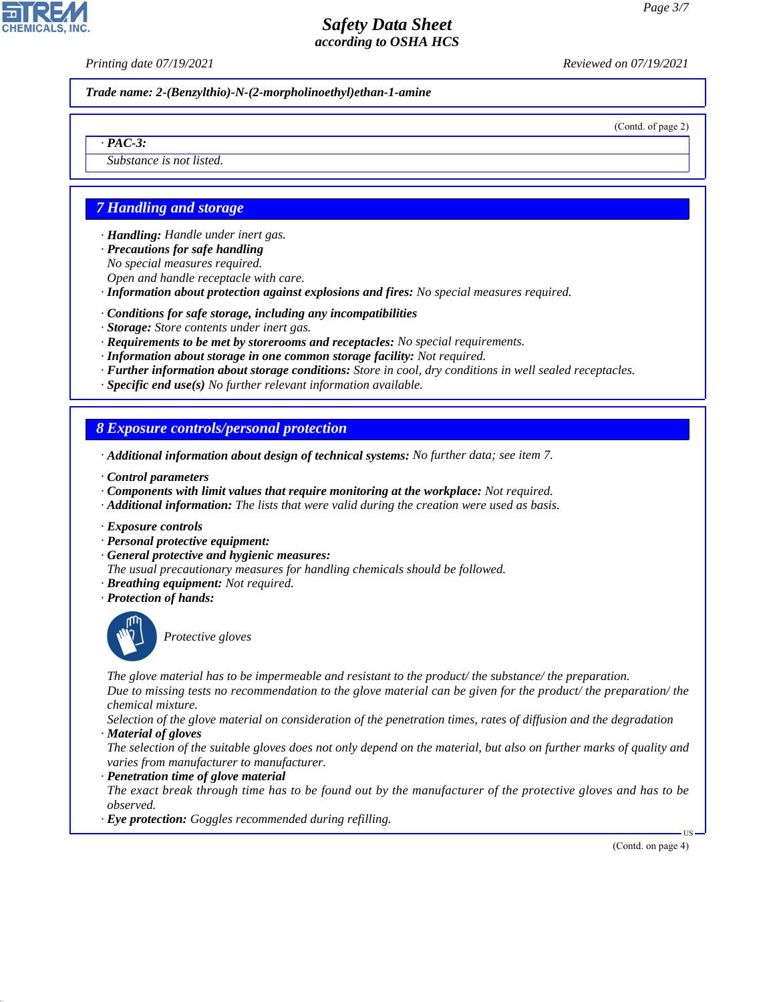*Printing date 07/19/2021 Reviewed on 07/19/2021*

*Trade name: 2-(Benzylthio)-N-(2-morpholinoethyl)ethan-1-amine*

(Contd. of page 2)

## *· PAC-3:*

*Substance is not listed.*

# *7 Handling and storage*

*· Handling: Handle under inert gas.*

- *· Precautions for safe handling*
- *No special measures required. Open and handle receptacle with care.*
- *· Information about protection against explosions and fires: No special measures required.*
- *· Conditions for safe storage, including any incompatibilities*
- *· Storage: Store contents under inert gas.*
- *· Requirements to be met by storerooms and receptacles: No special requirements.*
- *· Information about storage in one common storage facility: Not required.*
- *· Further information about storage conditions: Store in cool, dry conditions in well sealed receptacles.*
- *· Specific end use(s) No further relevant information available.*

## *8 Exposure controls/personal protection*

- *· Additional information about design of technical systems: No further data; see item 7.*
- *· Control parameters*
- *· Components with limit values that require monitoring at the workplace: Not required.*
- *· Additional information: The lists that were valid during the creation were used as basis.*
- *· Exposure controls*
- *· Personal protective equipment:*
- *· General protective and hygienic measures:*
- *The usual precautionary measures for handling chemicals should be followed.*
- *· Breathing equipment: Not required.*
- *· Protection of hands:*



44.1.1

\_S*Protective gloves*

*The glove material has to be impermeable and resistant to the product/ the substance/ the preparation. Due to missing tests no recommendation to the glove material can be given for the product/ the preparation/ the chemical mixture.*

*Selection of the glove material on consideration of the penetration times, rates of diffusion and the degradation · Material of gloves*

- *The selection of the suitable gloves does not only depend on the material, but also on further marks of quality and varies from manufacturer to manufacturer.*
- *· Penetration time of glove material*
- *The exact break through time has to be found out by the manufacturer of the protective gloves and has to be observed.*
- *· Eye protection: Goggles recommended during refilling.*

(Contd. on page 4)

US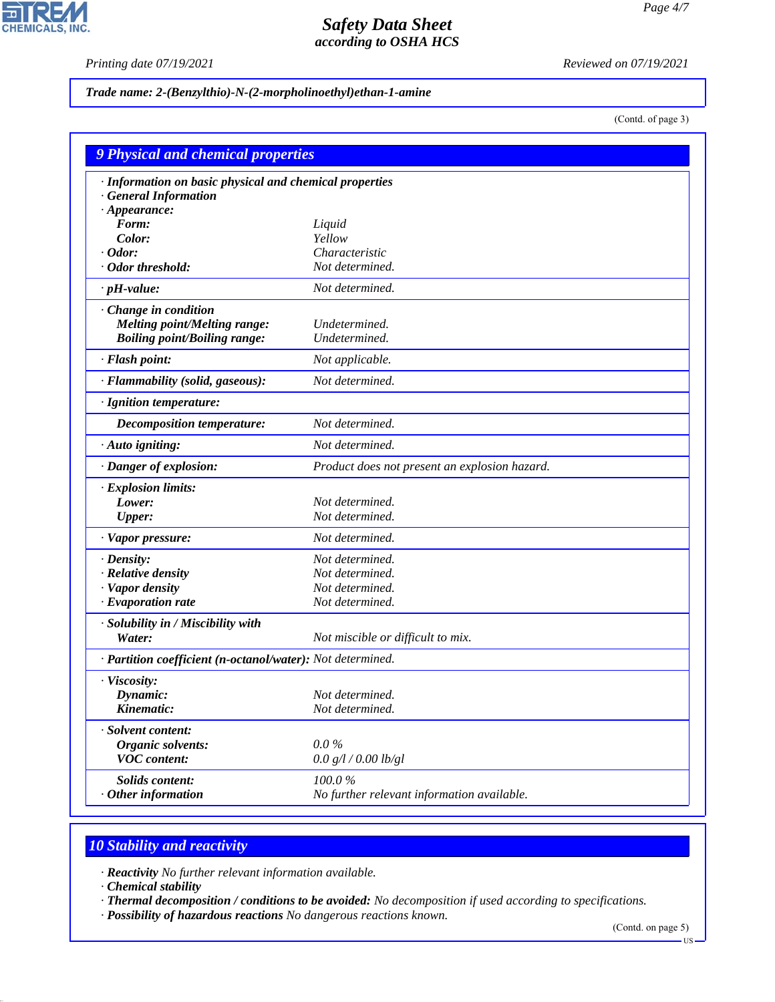$\overline{\mathbf{r}}$ 

**CHEMICALS, INC.** 

*Printing date 07/19/2021 Reviewed on 07/19/2021*

#### *Trade name: 2-(Benzylthio)-N-(2-morpholinoethyl)ethan-1-amine*

(Contd. of page 3)

| · Information on basic physical and chemical properties<br><b>General Information</b><br>$\cdot$ Appearance:<br>Form:<br>Liquid<br>Yellow<br>Color:<br>Odor:<br>Characteristic<br>Not determined.<br>Odor threshold:<br>Not determined.<br>$\cdot$ pH-value:<br>Change in condition<br><b>Melting point/Melting range:</b><br>Undetermined.<br><b>Boiling point/Boiling range:</b><br>Undetermined.<br>· Flash point:<br>Not applicable.<br>Not determined.<br>· Flammability (solid, gaseous):<br>· Ignition temperature:<br>Not determined.<br>Decomposition temperature:<br>Not determined.<br>· Auto igniting:<br>· Danger of explosion:<br>Product does not present an explosion hazard.<br>· Explosion limits:<br>Not determined.<br>Lower:<br>Not determined.<br><b>Upper:</b><br>Not determined.<br>· Vapor pressure:<br>Not determined.<br>$\cdot$ Density:<br>· Relative density<br>Not determined.<br>Not determined.<br>· Vapor density<br>· Evaporation rate<br>Not determined.<br>· Solubility in / Miscibility with<br>Water:<br>Not miscible or difficult to mix.<br>· Partition coefficient (n-octanol/water): Not determined. | <b>9 Physical and chemical properties</b> |  |  |
|-------------------------------------------------------------------------------------------------------------------------------------------------------------------------------------------------------------------------------------------------------------------------------------------------------------------------------------------------------------------------------------------------------------------------------------------------------------------------------------------------------------------------------------------------------------------------------------------------------------------------------------------------------------------------------------------------------------------------------------------------------------------------------------------------------------------------------------------------------------------------------------------------------------------------------------------------------------------------------------------------------------------------------------------------------------------------------------------------------------------------------------------------|-------------------------------------------|--|--|
|                                                                                                                                                                                                                                                                                                                                                                                                                                                                                                                                                                                                                                                                                                                                                                                                                                                                                                                                                                                                                                                                                                                                                 |                                           |  |  |
|                                                                                                                                                                                                                                                                                                                                                                                                                                                                                                                                                                                                                                                                                                                                                                                                                                                                                                                                                                                                                                                                                                                                                 |                                           |  |  |
|                                                                                                                                                                                                                                                                                                                                                                                                                                                                                                                                                                                                                                                                                                                                                                                                                                                                                                                                                                                                                                                                                                                                                 |                                           |  |  |
|                                                                                                                                                                                                                                                                                                                                                                                                                                                                                                                                                                                                                                                                                                                                                                                                                                                                                                                                                                                                                                                                                                                                                 |                                           |  |  |
|                                                                                                                                                                                                                                                                                                                                                                                                                                                                                                                                                                                                                                                                                                                                                                                                                                                                                                                                                                                                                                                                                                                                                 |                                           |  |  |
|                                                                                                                                                                                                                                                                                                                                                                                                                                                                                                                                                                                                                                                                                                                                                                                                                                                                                                                                                                                                                                                                                                                                                 |                                           |  |  |
|                                                                                                                                                                                                                                                                                                                                                                                                                                                                                                                                                                                                                                                                                                                                                                                                                                                                                                                                                                                                                                                                                                                                                 |                                           |  |  |
|                                                                                                                                                                                                                                                                                                                                                                                                                                                                                                                                                                                                                                                                                                                                                                                                                                                                                                                                                                                                                                                                                                                                                 |                                           |  |  |
|                                                                                                                                                                                                                                                                                                                                                                                                                                                                                                                                                                                                                                                                                                                                                                                                                                                                                                                                                                                                                                                                                                                                                 |                                           |  |  |
|                                                                                                                                                                                                                                                                                                                                                                                                                                                                                                                                                                                                                                                                                                                                                                                                                                                                                                                                                                                                                                                                                                                                                 |                                           |  |  |
|                                                                                                                                                                                                                                                                                                                                                                                                                                                                                                                                                                                                                                                                                                                                                                                                                                                                                                                                                                                                                                                                                                                                                 |                                           |  |  |
|                                                                                                                                                                                                                                                                                                                                                                                                                                                                                                                                                                                                                                                                                                                                                                                                                                                                                                                                                                                                                                                                                                                                                 |                                           |  |  |
|                                                                                                                                                                                                                                                                                                                                                                                                                                                                                                                                                                                                                                                                                                                                                                                                                                                                                                                                                                                                                                                                                                                                                 |                                           |  |  |
|                                                                                                                                                                                                                                                                                                                                                                                                                                                                                                                                                                                                                                                                                                                                                                                                                                                                                                                                                                                                                                                                                                                                                 |                                           |  |  |
|                                                                                                                                                                                                                                                                                                                                                                                                                                                                                                                                                                                                                                                                                                                                                                                                                                                                                                                                                                                                                                                                                                                                                 |                                           |  |  |
|                                                                                                                                                                                                                                                                                                                                                                                                                                                                                                                                                                                                                                                                                                                                                                                                                                                                                                                                                                                                                                                                                                                                                 |                                           |  |  |
|                                                                                                                                                                                                                                                                                                                                                                                                                                                                                                                                                                                                                                                                                                                                                                                                                                                                                                                                                                                                                                                                                                                                                 |                                           |  |  |
|                                                                                                                                                                                                                                                                                                                                                                                                                                                                                                                                                                                                                                                                                                                                                                                                                                                                                                                                                                                                                                                                                                                                                 |                                           |  |  |
|                                                                                                                                                                                                                                                                                                                                                                                                                                                                                                                                                                                                                                                                                                                                                                                                                                                                                                                                                                                                                                                                                                                                                 |                                           |  |  |
|                                                                                                                                                                                                                                                                                                                                                                                                                                                                                                                                                                                                                                                                                                                                                                                                                                                                                                                                                                                                                                                                                                                                                 |                                           |  |  |
|                                                                                                                                                                                                                                                                                                                                                                                                                                                                                                                                                                                                                                                                                                                                                                                                                                                                                                                                                                                                                                                                                                                                                 |                                           |  |  |
|                                                                                                                                                                                                                                                                                                                                                                                                                                                                                                                                                                                                                                                                                                                                                                                                                                                                                                                                                                                                                                                                                                                                                 |                                           |  |  |
|                                                                                                                                                                                                                                                                                                                                                                                                                                                                                                                                                                                                                                                                                                                                                                                                                                                                                                                                                                                                                                                                                                                                                 |                                           |  |  |
|                                                                                                                                                                                                                                                                                                                                                                                                                                                                                                                                                                                                                                                                                                                                                                                                                                                                                                                                                                                                                                                                                                                                                 |                                           |  |  |
|                                                                                                                                                                                                                                                                                                                                                                                                                                                                                                                                                                                                                                                                                                                                                                                                                                                                                                                                                                                                                                                                                                                                                 |                                           |  |  |
|                                                                                                                                                                                                                                                                                                                                                                                                                                                                                                                                                                                                                                                                                                                                                                                                                                                                                                                                                                                                                                                                                                                                                 |                                           |  |  |
|                                                                                                                                                                                                                                                                                                                                                                                                                                                                                                                                                                                                                                                                                                                                                                                                                                                                                                                                                                                                                                                                                                                                                 |                                           |  |  |
|                                                                                                                                                                                                                                                                                                                                                                                                                                                                                                                                                                                                                                                                                                                                                                                                                                                                                                                                                                                                                                                                                                                                                 | · Viscosity:                              |  |  |
| Dynamic:<br>Not determined.                                                                                                                                                                                                                                                                                                                                                                                                                                                                                                                                                                                                                                                                                                                                                                                                                                                                                                                                                                                                                                                                                                                     |                                           |  |  |
| Kinematic:<br>Not determined.                                                                                                                                                                                                                                                                                                                                                                                                                                                                                                                                                                                                                                                                                                                                                                                                                                                                                                                                                                                                                                                                                                                   |                                           |  |  |
| · Solvent content:                                                                                                                                                                                                                                                                                                                                                                                                                                                                                                                                                                                                                                                                                                                                                                                                                                                                                                                                                                                                                                                                                                                              |                                           |  |  |
| $0.0\%$<br><b>Organic solvents:</b>                                                                                                                                                                                                                                                                                                                                                                                                                                                                                                                                                                                                                                                                                                                                                                                                                                                                                                                                                                                                                                                                                                             |                                           |  |  |
| <b>VOC</b> content:<br>0.0 g/l / 0.00 lb/gl                                                                                                                                                                                                                                                                                                                                                                                                                                                                                                                                                                                                                                                                                                                                                                                                                                                                                                                                                                                                                                                                                                     |                                           |  |  |
| 100.0%<br><b>Solids content:</b>                                                                                                                                                                                                                                                                                                                                                                                                                                                                                                                                                                                                                                                                                                                                                                                                                                                                                                                                                                                                                                                                                                                |                                           |  |  |
| No further relevant information available.<br>Other information                                                                                                                                                                                                                                                                                                                                                                                                                                                                                                                                                                                                                                                                                                                                                                                                                                                                                                                                                                                                                                                                                 |                                           |  |  |

# *10 Stability and reactivity*

*· Reactivity No further relevant information available.*

*· Chemical stability*

44.1.1

*· Thermal decomposition / conditions to be avoided: No decomposition if used according to specifications.*

*· Possibility of hazardous reactions No dangerous reactions known.*

(Contd. on page 5)

 $-US$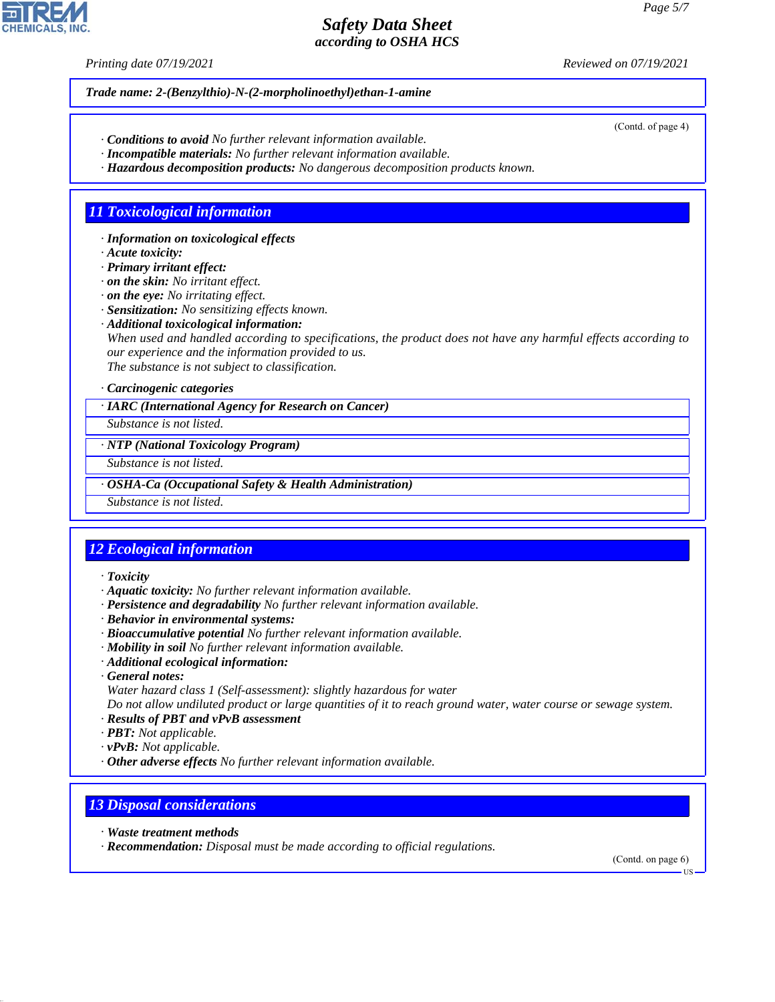*Printing date 07/19/2021 Reviewed on 07/19/2021*

*Trade name: 2-(Benzylthio)-N-(2-morpholinoethyl)ethan-1-amine*

- *· Conditions to avoid No further relevant information available.*
- *· Incompatible materials: No further relevant information available.*
- *· Hazardous decomposition products: No dangerous decomposition products known.*

## *11 Toxicological information*

*· Information on toxicological effects*

*· Acute toxicity:*

*· Primary irritant effect:*

*· on the skin: No irritant effect.*

*· on the eye: No irritating effect.*

*· Sensitization: No sensitizing effects known.*

*· Additional toxicological information:*

*When used and handled according to specifications, the product does not have any harmful effects according to our experience and the information provided to us.*

*The substance is not subject to classification.*

#### *· Carcinogenic categories*

*· IARC (International Agency for Research on Cancer)*

*Substance is not listed.*

*· NTP (National Toxicology Program)*

*Substance is not listed.*

*· OSHA-Ca (Occupational Safety & Health Administration)*

*Substance is not listed.*

# *12 Ecological information*

*· Toxicity*

- *· Aquatic toxicity: No further relevant information available.*
- *· Persistence and degradability No further relevant information available.*
- *· Behavior in environmental systems:*
- *· Bioaccumulative potential No further relevant information available.*
- *· Mobility in soil No further relevant information available.*
- *· Additional ecological information:*
- *· General notes:*

*Water hazard class 1 (Self-assessment): slightly hazardous for water*

*Do not allow undiluted product or large quantities of it to reach ground water, water course or sewage system.*

- *· Results of PBT and vPvB assessment*
- *· PBT: Not applicable.*
- *· vPvB: Not applicable.*
- *· Other adverse effects No further relevant information available.*

## *13 Disposal considerations*

*· Waste treatment methods*

44.1.1

*· Recommendation: Disposal must be made according to official regulations.*

(Contd. on page 6)

US



(Contd. of page 4)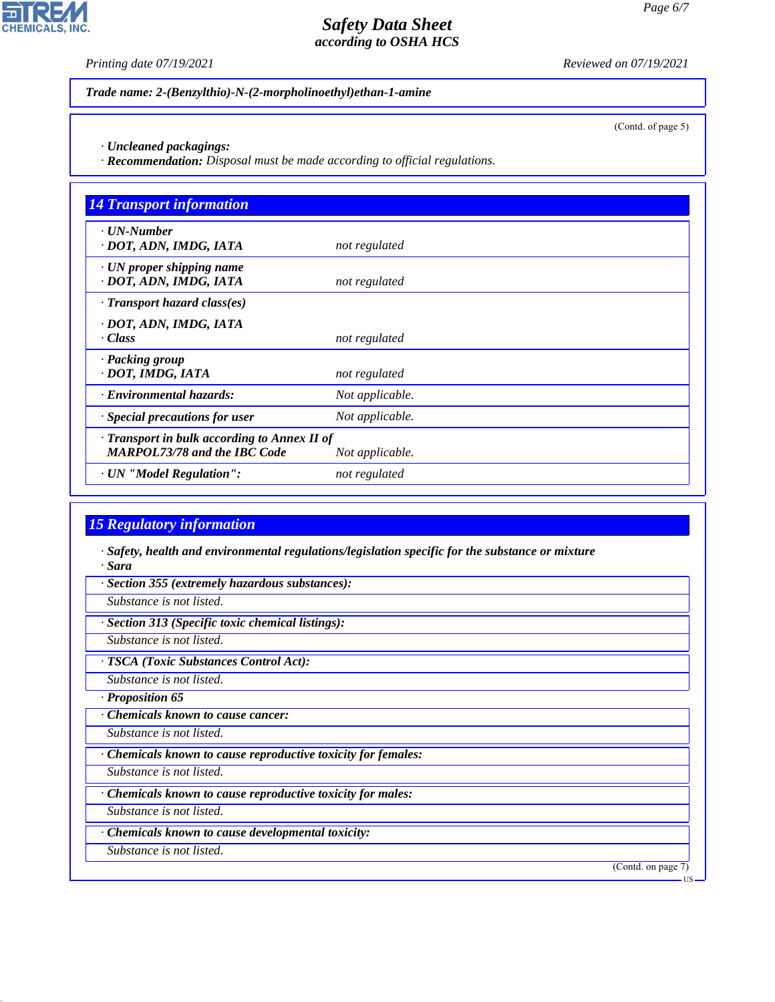P

**CHEMICALS, INC.** 

*Printing date 07/19/2021 Reviewed on 07/19/2021*

(Contd. of page 5)

*Trade name: 2-(Benzylthio)-N-(2-morpholinoethyl)ethan-1-amine*

*· Uncleaned packagings: · Recommendation: Disposal must be made according to official regulations.*

| <b>14 Transport information</b>                                                           |                 |
|-------------------------------------------------------------------------------------------|-----------------|
| $\cdot$ UN-Number<br>· DOT, ADN, IMDG, IATA                                               | not regulated   |
| · UN proper shipping name<br>· DOT, ADN, IMDG, IATA                                       | not regulated   |
| $\cdot$ Transport hazard class(es)                                                        |                 |
| · DOT, ADN, IMDG, IATA<br>· Class                                                         | not regulated   |
| · Packing group<br>· DOT, IMDG, IATA                                                      | not regulated   |
| · Environmental hazards:                                                                  | Not applicable. |
| Special precautions for user                                                              | Not applicable. |
| $\cdot$ Transport in bulk according to Annex II of<br><b>MARPOL73/78 and the IBC Code</b> | Not applicable. |
| · UN "Model Regulation":                                                                  | not regulated   |

# *15 Regulatory information*

*· Safety, health and environmental regulations/legislation specific for the substance or mixture · Sara*

*· Section 355 (extremely hazardous substances):*

*Substance is not listed.*

*· Section 313 (Specific toxic chemical listings):*

*Substance is not listed.*

*· TSCA (Toxic Substances Control Act):*

*Substance is not listed.*

*· Proposition 65*

*· Chemicals known to cause cancer:*

*Substance is not listed.*

*· Chemicals known to cause reproductive toxicity for females:*

*Substance is not listed.*

*· Chemicals known to cause reproductive toxicity for males:*

*Substance is not listed.*

*· Chemicals known to cause developmental toxicity:*

*Substance is not listed.*

44.1.1

(Contd. on page 7)

US